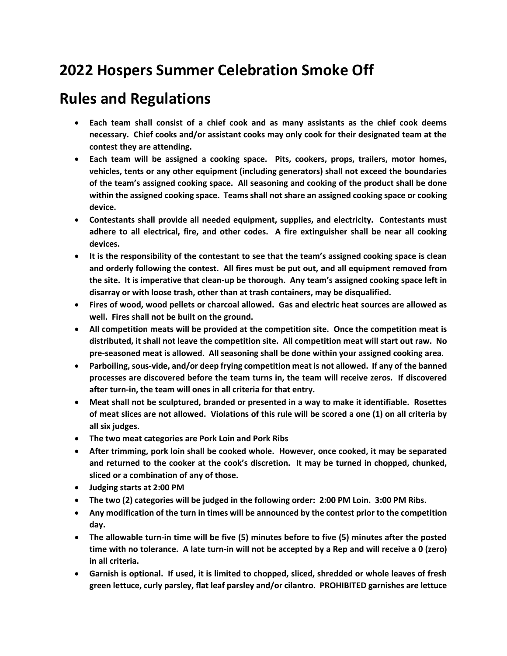## **2022 Hospers Summer Celebration Smoke Off**

## **Rules and Regulations**

- **Each team shall consist of a chief cook and as many assistants as the chief cook deems necessary. Chief cooks and/or assistant cooks may only cook for their designated team at the contest they are attending.**
- **Each team will be assigned a cooking space. Pits, cookers, props, trailers, motor homes, vehicles, tents or any other equipment (including generators) shall not exceed the boundaries of the team's assigned cooking space. All seasoning and cooking of the product shall be done within the assigned cooking space. Teams shall not share an assigned cooking space or cooking device.**
- **Contestants shall provide all needed equipment, supplies, and electricity. Contestants must adhere to all electrical, fire, and other codes. A fire extinguisher shall be near all cooking devices.**
- **It is the responsibility of the contestant to see that the team's assigned cooking space is clean and orderly following the contest. All fires must be put out, and all equipment removed from the site. It is imperative that clean-up be thorough. Any team's assigned cooking space left in disarray or with loose trash, other than at trash containers, may be disqualified.**
- **Fires of wood, wood pellets or charcoal allowed. Gas and electric heat sources are allowed as well. Fires shall not be built on the ground.**
- **All competition meats will be provided at the competition site. Once the competition meat is distributed, it shall not leave the competition site. All competition meat will start out raw. No pre-seasoned meat is allowed. All seasoning shall be done within your assigned cooking area.**
- **Parboiling, sous-vide, and/or deep frying competition meat is not allowed. If any of the banned processes are discovered before the team turns in, the team will receive zeros. If discovered after turn-in, the team will ones in all criteria for that entry.**
- **Meat shall not be sculptured, branded or presented in a way to make it identifiable. Rosettes of meat slices are not allowed. Violations of this rule will be scored a one (1) on all criteria by all six judges.**
- **The two meat categories are Pork Loin and Pork Ribs**
- **After trimming, pork loin shall be cooked whole. However, once cooked, it may be separated and returned to the cooker at the cook's discretion. It may be turned in chopped, chunked, sliced or a combination of any of those.**
- **Judging starts at 2:00 PM**
- **The two (2) categories will be judged in the following order: 2:00 PM Loin. 3:00 PM Ribs.**
- **Any modification of the turn in times will be announced by the contest prior to the competition day.**
- **The allowable turn-in time will be five (5) minutes before to five (5) minutes after the posted time with no tolerance. A late turn-in will not be accepted by a Rep and will receive a 0 (zero) in all criteria.**
- **Garnish is optional. If used, it is limited to chopped, sliced, shredded or whole leaves of fresh green lettuce, curly parsley, flat leaf parsley and/or cilantro. PROHIBITED garnishes are lettuce**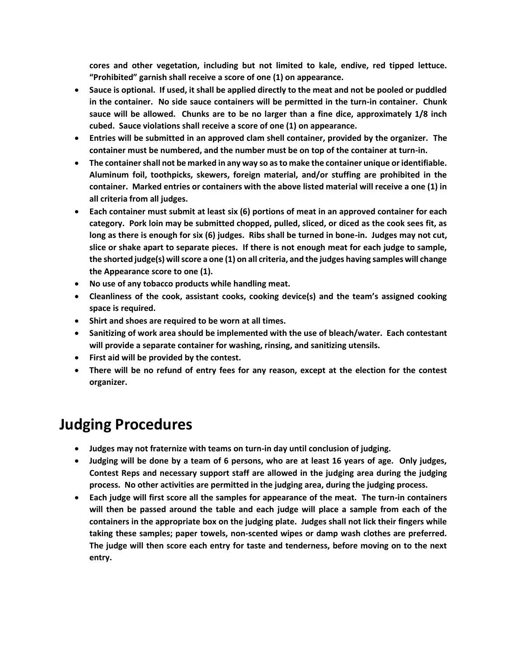**cores and other vegetation, including but not limited to kale, endive, red tipped lettuce. "Prohibited" garnish shall receive a score of one (1) on appearance.**

- **Sauce is optional. If used, it shall be applied directly to the meat and not be pooled or puddled in the container. No side sauce containers will be permitted in the turn-in container. Chunk sauce will be allowed. Chunks are to be no larger than a fine dice, approximately 1/8 inch cubed. Sauce violations shall receive a score of one (1) on appearance.**
- **Entries will be submitted in an approved clam shell container, provided by the organizer. The container must be numbered, and the number must be on top of the container at turn-in.**
- **The container shall not be marked in any way so as to make the container unique or identifiable. Aluminum foil, toothpicks, skewers, foreign material, and/or stuffing are prohibited in the container. Marked entries or containers with the above listed material will receive a one (1) in all criteria from all judges.**
- **Each container must submit at least six (6) portions of meat in an approved container for each category. Pork loin may be submitted chopped, pulled, sliced, or diced as the cook sees fit, as long as there is enough for six (6) judges. Ribs shall be turned in bone-in. Judges may not cut, slice or shake apart to separate pieces. If there is not enough meat for each judge to sample, the shorted judge(s) will score a one (1) on all criteria, and the judges having samples will change the Appearance score to one (1).**
- **No use of any tobacco products while handling meat.**
- **Cleanliness of the cook, assistant cooks, cooking device(s) and the team's assigned cooking space is required.**
- **Shirt and shoes are required to be worn at all times.**
- **Sanitizing of work area should be implemented with the use of bleach/water. Each contestant will provide a separate container for washing, rinsing, and sanitizing utensils.**
- **First aid will be provided by the contest.**
- **There will be no refund of entry fees for any reason, except at the election for the contest organizer.**

## **Judging Procedures**

- **Judges may not fraternize with teams on turn-in day until conclusion of judging.**
- **Judging will be done by a team of 6 persons, who are at least 16 years of age. Only judges, Contest Reps and necessary support staff are allowed in the judging area during the judging process. No other activities are permitted in the judging area, during the judging process.**
- **Each judge will first score all the samples for appearance of the meat. The turn-in containers will then be passed around the table and each judge will place a sample from each of the containers in the appropriate box on the judging plate. Judges shall not lick their fingers while taking these samples; paper towels, non-scented wipes or damp wash clothes are preferred. The judge will then score each entry for taste and tenderness, before moving on to the next entry.**